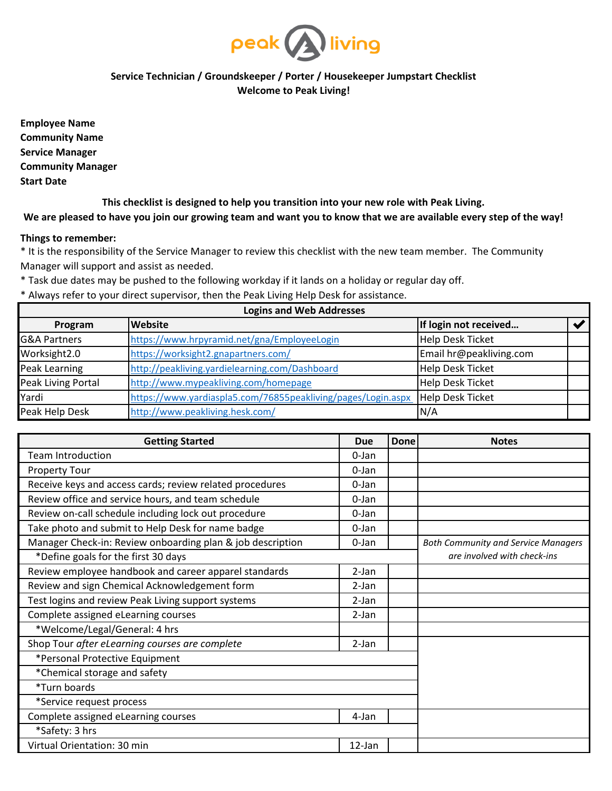

## **Service Technician / Groundskeeper / Porter / Housekeeper Jumpstart Checklist Welcome to Peak Living!**

**Start Date Employee Name Community Name Service Manager Community Manager**

**This checklist is designed to help you transition into your new role with Peak Living. We are pleased to have you join our growing team and want you to know that we are available every step of the way!**

## **Things to remember:**

\* It is the responsibility of the Service Manager to review this checklist with the new team member. The Community Manager will support and assist as needed.

\* Task due dates may be pushed to the following workday if it lands on a holiday or regular day off.

\* Always refer to your direct supervisor, then the Peak Living Help Desk for assistance.

| <b>Logins and Web Addresses</b> |                                                              |                         |  |  |  |  |  |
|---------------------------------|--------------------------------------------------------------|-------------------------|--|--|--|--|--|
| Program                         | <b>Website</b>                                               | If login not received   |  |  |  |  |  |
| <b>G&amp;A Partners</b>         | https://www.hrpyramid.net/gna/EmployeeLogin                  | <b>Help Desk Ticket</b> |  |  |  |  |  |
| Worksight2.0                    | https://worksight2.gnapartners.com/                          | Email hr@peakliving.com |  |  |  |  |  |
| Peak Learning                   | http://peakliving.yardielearning.com/Dashboard               | <b>Help Desk Ticket</b> |  |  |  |  |  |
| Peak Living Portal              | http://www.mypeakliving.com/homepage                         | <b>Help Desk Ticket</b> |  |  |  |  |  |
| Yardi                           | https://www.yardiaspla5.com/76855peakliving/pages/Login.aspx | <b>Help Desk Ticket</b> |  |  |  |  |  |
| Peak Help Desk                  | http://www.peakliving.hesk.com/                              | N/A                     |  |  |  |  |  |

| <b>Getting Started</b>                                     |  | Done | <b>Notes</b>                               |
|------------------------------------------------------------|--|------|--------------------------------------------|
| <b>Team Introduction</b>                                   |  |      |                                            |
| <b>Property Tour</b>                                       |  |      |                                            |
| Receive keys and access cards; review related procedures   |  |      |                                            |
| Review office and service hours, and team schedule         |  |      |                                            |
| Review on-call schedule including lock out procedure       |  |      |                                            |
| Take photo and submit to Help Desk for name badge          |  |      |                                            |
| Manager Check-in: Review onboarding plan & job description |  |      | <b>Both Community and Service Managers</b> |
| *Define goals for the first 30 days                        |  |      | are involved with check-ins                |
| Review employee handbook and career apparel standards      |  |      |                                            |
| Review and sign Chemical Acknowledgement form              |  |      |                                            |
| Test logins and review Peak Living support systems         |  |      |                                            |
| Complete assigned eLearning courses                        |  |      |                                            |
| *Welcome/Legal/General: 4 hrs                              |  |      |                                            |
| Shop Tour after eLearning courses are complete             |  |      |                                            |
| *Personal Protective Equipment                             |  |      |                                            |
| *Chemical storage and safety                               |  |      |                                            |
| *Turn boards                                               |  |      |                                            |
| *Service request process                                   |  |      |                                            |
| Complete assigned eLearning courses                        |  |      |                                            |
| *Safety: 3 hrs                                             |  |      |                                            |
| Virtual Orientation: 30 min                                |  |      |                                            |